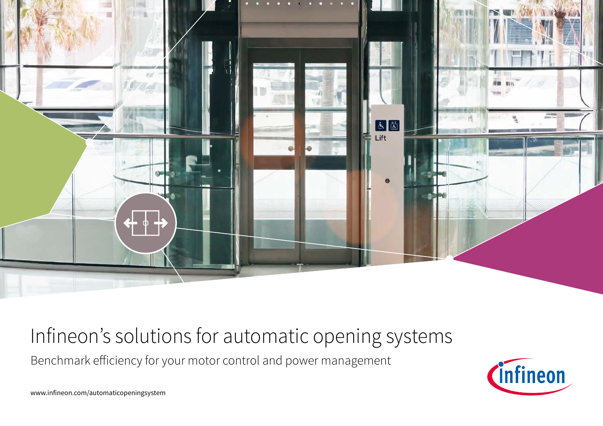

## Infineon's solutions for automatic opening systems

Benchmark efficiency for your motor control and power management



www.infineon.com/automaticopeningsystem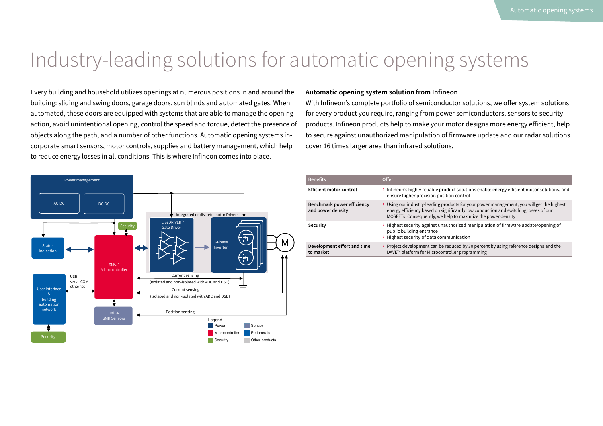## Industry-leading solutions for automatic opening systems

Every building and household utilizes openings at numerous positions in and around the building: sliding and swing doors, garage doors, sun blinds and automated gates. When automated, these doors are equipped with systems that are able to manage the opening action, avoid unintentional opening, control the speed and torque, detect the presence of objects along the path, and a number of other functions. Automatic opening systems incorporate smart sensors, motor controls, supplies and battery management, which help to reduce energy losses in all conditions. This is where Infineon comes into place.



### **Automatic opening system solution from Infineon**

With Infineon's complete portfolio of semiconductor solutions, we offer system solutions for every product you require, ranging from power semiconductors, sensors to security products. Infineon products help to make your motor designs more energy efficient, help to secure against unauthorized manipulation of firmware update and our radar solutions cover 16 times larger area than infrared solutions.

| <b>Benefits</b>                                 | <b>Offer</b>                                                                                                                                                                                                                                     |
|-------------------------------------------------|--------------------------------------------------------------------------------------------------------------------------------------------------------------------------------------------------------------------------------------------------|
| <b>Efficient motor control</b>                  | > Infineon's highly reliable product solutions enable energy efficient motor solutions, and<br>ensure higher precision position control                                                                                                          |
| Benchmark power efficiency<br>and power density | > Using our industry-leading products for your power management, you will get the highest<br>energy efficiency based on significantly low conduction and switching losses of our<br>MOSFETs. Consequently, we help to maximize the power density |
| Security                                        | $\rightarrow$ Highest security against unauthorized manipulation of firmware update/opening of<br>public building entrance<br>> Highest security of data communication                                                                           |
| Development effort and time<br>to market        | > Project development can be reduced by 30 percent by using reference designs and the<br>DAVE™ platform for Microcontroller programming                                                                                                          |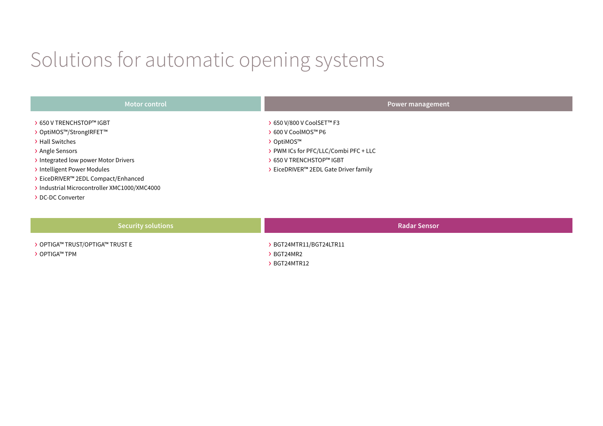# Solutions for automatic opening systems

| <b>Motor control</b>                                                                                                                                                                                                                                               | Power management                                                                                                                                                             |
|--------------------------------------------------------------------------------------------------------------------------------------------------------------------------------------------------------------------------------------------------------------------|------------------------------------------------------------------------------------------------------------------------------------------------------------------------------|
| > 650 V TRENCHSTOP™ IGBT<br>> OptiMOS™/StrongIRFET™<br>Hall Switches<br>> Angle Sensors<br>> Integrated low power Motor Drivers<br>Intelligent Power Modules<br>EiceDRIVER™ 2EDL Compact/Enhanced<br>Industrial Microcontroller XMC1000/XMC4000<br>DC-DC Converter | > 650 V/800 V CoolSET™ F3<br>b 600 V CoolMOS™ P6<br>> OptiMOS™<br>> PWM ICs for PFC/LLC/Combi PFC + LLC<br>▶ 650 V TRENCHSTOP™ IGBT<br>> EiceDRIVER™ 2EDL Gate Driver family |
|                                                                                                                                                                                                                                                                    |                                                                                                                                                                              |

### **Security solutions**

› OPTIGA™ TRUST/OPTIGA™ TRUST E

› OPTIGA™ TPM

› BGT24MTR11/BGT24LTR11

**Radar Sensor** 

- › BGT24MR2
- › BGT24MTR12